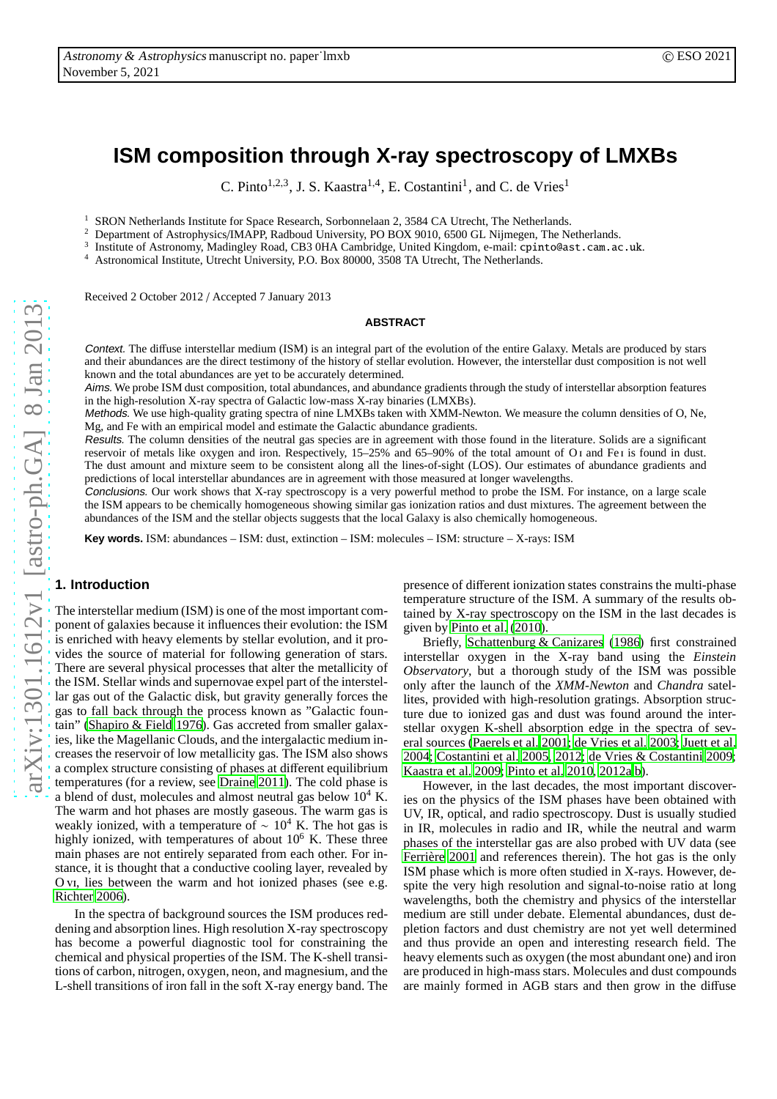# **ISM composition through X-ray spectroscopy of LMXBs**

C. Pinto<sup>1,2,3</sup>, J. S. Kaastra<sup>1,4</sup>, E. Costantini<sup>1</sup>, and C. de Vries<sup>1</sup>

<sup>1</sup> SRON Netherlands Institute for Space Research, Sorbonnelaan 2, 3584 CA Utrecht, The Netherlands.<br><sup>2</sup> Department of Astrophysics (JMARD Bedboud University, PO BOV 0010, 6500 CL Nijmagen, The N.

<sup>2</sup> Department of Astrophysics/IMAPP, Radboud University, PO BOX 9010, 6500 GL Nijmegen, The Netherlands.

3 Institute of Astronomy, Madingley Road, CB3 0HA Cambridge, United Kingdom, e-mail: cpinto@ast.cam.ac.uk.

<sup>4</sup> Astronomical Institute, Utrecht University, P.O. Box 80000, 3508 TA Utrecht, The Netherlands.

Received 2 October 2012 / Accepted 7 January 2013

## **ABSTRACT**

Context. The diffuse interstellar medium (ISM) is an integral part of the evolution of the entire Galaxy. Metals are produced by stars and their abundances are the direct testimony of the history of stellar evolution. However, the interstellar dust composition is not well known and the total abundances are yet to be accurately determined.

Aims. We probe ISM dust composition, total abundances, and abundance gradients through the study of interstellar absorption features in the high-resolution X-ray spectra of Galactic low-mass X-ray binaries (LMXBs).

Methods. We use high-quality grating spectra of nine LMXBs taken with XMM-Newton. We measure the column densities of O, Ne, Mg, and Fe with an empirical model and estimate the Galactic abundance gradients.

Results. The column densities of the neutral gas species are in agreement with those found in the literature. Solids are a significant reservoir of metals like oxygen and iron. Respectively, 15–25% and 65–90% of the total amount of O i and Fe i is found in dust. The dust amount and mixture seem to be consistent along all the lines-of-sight (LOS). Our estimates of abundance gradients and predictions of local interstellar abundances are in agreement with those measured at longer wavelengths.

Conclusions. Our work shows that X-ray spectroscopy is a very powerful method to probe the ISM. For instance, on a large scale the ISM appears to be chemically homogeneous showing similar gas ionization ratios and dust mixtures. The agreement between the abundances of the ISM and the stellar objects suggests that the local Galaxy is also chemically homogeneous.

**Key words.** ISM: abundances – ISM: dust, extinction – ISM: molecules – ISM: structure – X-rays: ISM

# **1. Introduction**

The interstellar medium (ISM) is one of the most important component of galaxies because it influences their evolution: the ISM is enriched with heavy elements by stellar evolution, and it provides the source of material for following generation of stars. There are several physical processes that alter the metallicity of the ISM. Stellar winds and supernovae expel part of the interstellar gas out of the Galactic disk, but gravity generally forces the gas to fall back through the process known as "Galactic fountain" [\(Shapiro & Field 1976\)](#page-12-0). Gas accreted from smaller galaxies, like the Magellanic Clouds, and the intergalactic medium increases the reservoir of low metallicity gas. The ISM also shows a complex structure consisting of phases at different equilibrium temperatures (for a review, see [Draine 2011\)](#page-11-0). The cold phase is a blend of dust, molecules and almost neutral gas below  $10^4$  K. The warm and hot phases are mostly gaseous. The warm gas is weakly ionized, with a temperature of  $\sim 10^4$  K. The hot gas is highly ionized, with temperatures of about  $10<sup>6</sup>$  K. These three main phases are not entirely separated from each other. For instance, it is thought that a conductive cooling layer, revealed by O vi, lies between the warm and hot ionized phases (see e.g. [Richter 2006\)](#page-12-1).

In the spectra of background sources the ISM produces reddening and absorption lines. High resolution X-ray spectroscopy has become a powerful diagnostic tool for constraining the chemical and physical properties of the ISM. The K-shell transitions of carbon, nitrogen, oxygen, neon, and magnesium, and the L-shell transitions of iron fall in the soft X-ray energy band. The presence of different ionization states constrains the multi-phase temperature structure of the ISM. A summary of the results obtained by X-ray spectroscopy on the ISM in the last decades is given by [Pinto et al. \(2010](#page-12-2)).

Briefly, [Schattenburg & Canizares \(1986\)](#page-12-3) first constrained interstellar oxygen in the X-ray band using the *Einstein Observatory*, but a thorough study of the ISM was possible only after the launch of the *XMM-Newton* and *Chandra* satellites, provided with high-resolution gratings. Absorption structure due to ionized gas and dust was found around the interstellar oxygen K-shell absorption edge in the spectra of several sources [\(Paerels et al. 2001;](#page-11-1) [de Vries et al. 2003;](#page-11-2) [Juett](#page-11-3) et al. [2004;](#page-11-3) [Costantini et al. 2005](#page-11-4), [2012;](#page-11-5) [de Vries & Costantini 2009;](#page-11-6) [Kaastra et al. 2009;](#page-11-7) [Pinto et al. 2010](#page-12-2), [2012a](#page-12-4)[,b\)](#page-12-5).

However, in the last decades, the most important discoveries on the physics of the ISM phases have been obtained with UV, IR, optical, and radio spectroscopy. Dust is usually studied in IR, molecules in radio and IR, while the neutral and warm phases of the interstellar gas are also probed with UV data (see Ferrière 2001 and references therein). The hot gas is the only ISM phase which is more often studied in X-rays. However, despite the very high resolution and signal-to-noise ratio at long wavelengths, both the chemistry and physics of the interstellar medium are still under debate. Elemental abundances, dust depletion factors and dust chemistry are not yet well determined and thus provide an open and interesting research field. The heavy elements such as oxygen (the most abundant one) and iron are produced in high-mass stars. Molecules and dust compounds are mainly formed in AGB stars and then grow in the diffuse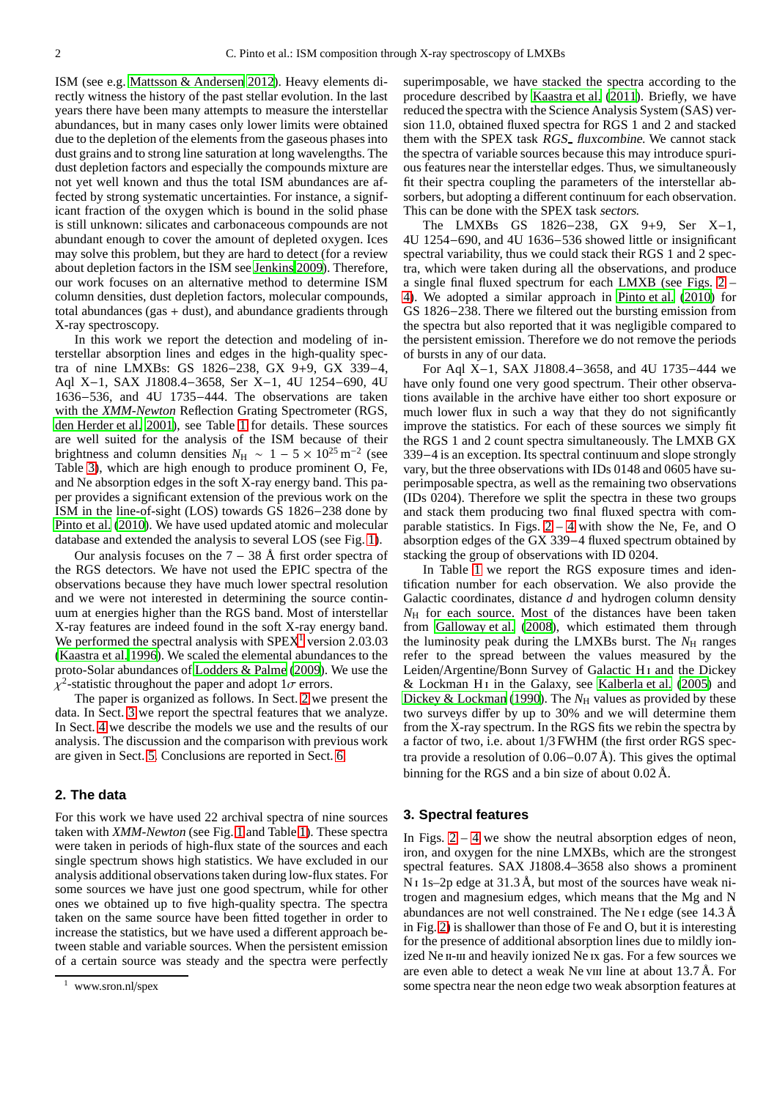ISM (see e.g. [Mattsson & Andersen 2012\)](#page-11-9). Heavy elements directly witness the history of the past stellar evolution. In the last years there have been many attempts to measure the interstellar abundances, but in many cases only lower limits were obtained due to the depletion of the elements from the gaseous phases into dust grains and to strong line saturation at long wavelengths. The dust depletion factors and especially the compounds mixture are not yet well known and thus the total ISM abundances are affected by strong systematic uncertainties. For instance, a significant fraction of the oxygen which is bound in the solid phase is still unknown: silicates and carbonaceous compounds are not abundant enough to cover the amount of depleted oxygen. Ices may solve this problem, but they are hard to detect (for a review about depletion factors in the ISM see [Jenkins 2009](#page-11-10)). Therefore, our work focuses on an alternative method to determine ISM column densities, dust depletion factors, molecular compounds, total abundances (gas  $+$  dust), and abundance gradients through X-ray spectroscopy.

In this work we report the detection and modeling of interstellar absorption lines and edges in the high-quality spectra of nine LMXBs: GS 1826−238, GX 9+9, GX 339−4, Aql X−1, SAX J1808.4−3658, Ser X−1, 4U 1254−690, 4U 1636−536, and 4U 1735−444. The observations are taken with the *XMM-Newton* Reflection Grating Spectrometer (RGS, [den Herder et al. 2001](#page-11-11)), see Table [1](#page-2-0) for details. These sources are well suited for the analysis of the ISM because of their brightness and column densities  $N_H \sim 1 - 5 \times 10^{25} \text{ m}^{-2}$  (see Table [3\)](#page-7-0), which are high enough to produce prominent O, Fe, and Ne absorption edges in the soft X-ray energy band. This paper provides a significant extension of the previous work on the ISM in the line-of-sight (LOS) towards GS 1826−238 done by [Pinto et al.](#page-12-2) [\(2010\)](#page-12-2). We have used updated atomic and molecular database and extended the analysis to several LOS (see Fig. [1\)](#page-2-1).

Our analysis focuses on the  $7 - 38$  Å first order spectra of the RGS detectors. We have not used the EPIC spectra of the observations because they have much lower spectral resolution and we were not interested in determining the source continuum at energies higher than the RGS band. Most of interstellar X-ray features are indeed found in the soft X-ray energy band. We performed the spectral analysis with  $SPEX<sup>1</sup>$  $SPEX<sup>1</sup>$  $SPEX<sup>1</sup>$  version 2.03.03 [\(Kaastra et al. 1996\)](#page-11-12). We scaled the elemental abundances to the proto-Solar abundances of [Lodders & Palme \(2009\)](#page-11-13). We use the  $\chi^2$ -statistic throughout the paper and adopt  $1\sigma$  errors.

The paper is organized as follows. In Sect. [2](#page-1-1) we present the data. In Sect. [3](#page-1-2) we report the spectral features that we analyze. In Sect. [4](#page-3-0) we describe the models we use and the results of our analysis. The discussion and the comparison with previous work are given in Sect. [5.](#page-8-0) Conclusions are reported in Sect. [6.](#page-11-14)

# <span id="page-1-1"></span>**2. The data**

For this work we have used 22 archival spectra of nine sources taken with *XMM-Newton* (see Fig. [1](#page-2-1) and Table [1\)](#page-2-0). These spectra were taken in periods of high-flux state of the sources and each single spectrum shows high statistics. We have excluded in our analysis additional observations taken during low-flux states. For some sources we have just one good spectrum, while for other ones we obtained up to five high-quality spectra. The spectra taken on the same source have been fitted together in order to increase the statistics, but we have used a different approach between stable and variable sources. When the persistent emission of a certain source was steady and the spectra were perfectly superimposable, we have stacked the spectra according to the procedure described by [Kaastra et al. \(2011](#page-11-15)). Briefly, we have reduced the spectra with the Science Analysis System (SAS) version 11.0, obtained fluxed spectra for RGS 1 and 2 and stacked them with the SPEX task RGS fluxcombine. We cannot stack the spectra of variable sources because this may introduce spurious features near the interstellar edges. Thus, we simultaneously fit their spectra coupling the parameters of the interstellar absorbers, but adopting a different continuum for each observation. This can be done with the SPEX task sectors.

The LMXBs GS 1826−238, GX 9+9, Ser X−1, 4U 1254−690, and 4U 1636−536 showed little or insignificant spectral variability, thus we could stack their RGS 1 and 2 spectra, which were taken during all the observations, and produce a single final fluxed spectrum for each LMXB (see Figs. [2](#page-3-1) – [4\)](#page-5-0). We adopted a similar approach in [Pinto et al. \(2010](#page-12-2)) for GS 1826−238. There we filtered out the bursting emission from the spectra but also reported that it was negligible compared to the persistent emission. Therefore we do not remove the periods of bursts in any of our data.

For Aql X−1, SAX J1808.4−3658, and 4U 1735−444 we have only found one very good spectrum. Their other observations available in the archive have either too short exposure or much lower flux in such a way that they do not significantly improve the statistics. For each of these sources we simply fit the RGS 1 and 2 count spectra simultaneously. The LMXB GX 339−4 is an exception. Its spectral continuum and slope strongly vary, but the three observations with IDs 0148 and 0605 have superimposable spectra, as well as the remaining two observations (IDs 0204). Therefore we split the spectra in these two groups and stack them producing two final fluxed spectra with comparable statistics. In Figs.  $2 - 4$  $2 - 4$  with show the Ne, Fe, and O absorption edges of the GX 339−4 fluxed spectrum obtained by stacking the group of observations with ID 0204.

In Table [1](#page-2-0) we report the RGS exposure times and identification number for each observation. We also provide the Galactic coordinates, distance *d* and hydrogen column density *N*H for each source. Most of the distances have been taken from [Galloway et al.](#page-11-16) [\(2008\)](#page-11-16), which estimated them through the luminosity peak during the LMXBs burst. The  $N_{\rm H}$  ranges refer to the spread between the values measured by the Leiden/Argentine/Bonn Survey of Galactic H<sub>1</sub> and the Dickey & Lockman H<sub>I</sub> in the Galaxy, see Kalberla et al.  $(2005)$  and [Dickey & Lockman](#page-11-18) [\(1990\)](#page-11-18). The  $N<sub>H</sub>$  values as provided by these two surveys differ by up to 30% and we will determine them from the X-ray spectrum. In the RGS fits we rebin the spectra by a factor of two, i.e. about 1/3 FWHM (the first order RGS spectra provide a resolution of 0.06−0.07 Å). This gives the optimal binning for the RGS and a bin size of about 0.02 Å.

#### <span id="page-1-2"></span>**3. Spectral features**

In Figs.  $2 - 4$  $2 - 4$  we show the neutral absorption edges of neon, iron, and oxygen for the nine LMXBs, which are the strongest spectral features. SAX J1808.4–3658 also shows a prominent  $N_1$  1s–2p edge at 31.3 Å, but most of the sources have weak nitrogen and magnesium edges, which means that the Mg and N abundances are not well constrained. The Ne i edge (see 14.3 Å in Fig. [2\)](#page-3-1) is shallower than those of Fe and O, but it is interesting for the presence of additional absorption lines due to mildly ionized Ne II-III and heavily ionized Ne Ix gas. For a few sources we are even able to detect a weak Ne viii line at about  $13.7 \text{ Å}$ . For some spectra near the neon edge two weak absorption features at

<span id="page-1-0"></span><sup>1</sup> www.sron.nl/spex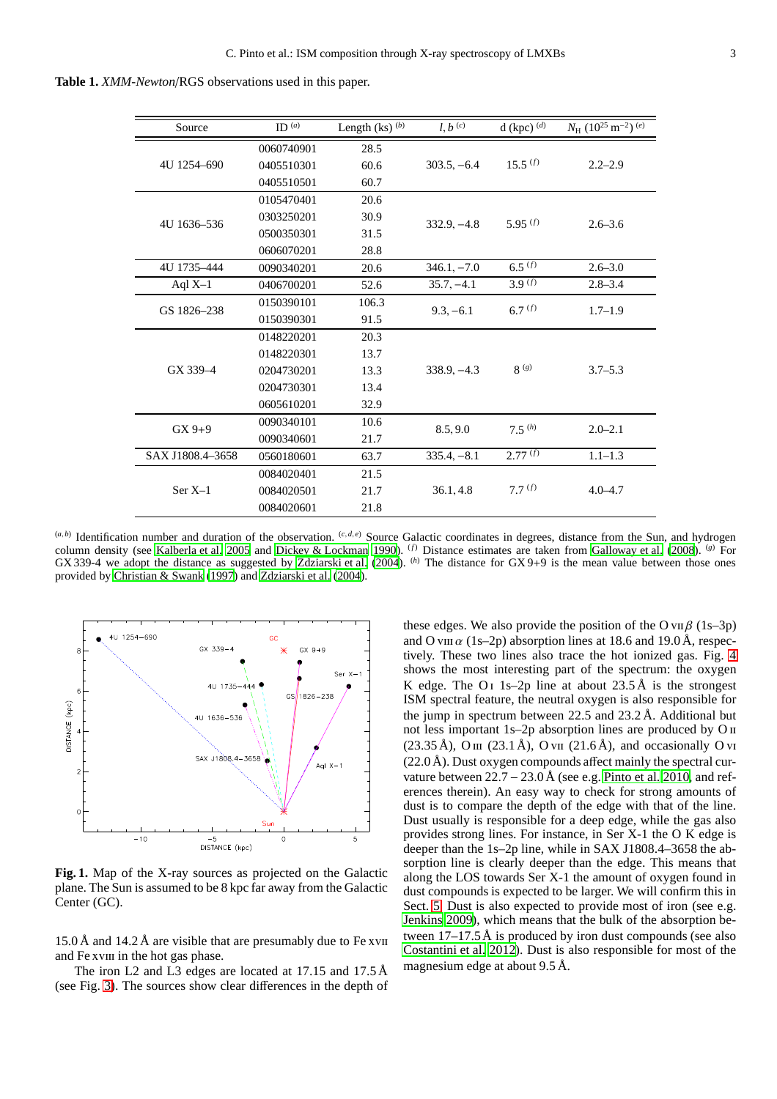**Table 1.** *XMM-Newton*/RGS observations used in this paper.

<span id="page-2-0"></span>

| Source           | ID $(a)$   | Length $(ks)$ <sup>(b)</sup> | $l, b^{(c)}$  | d (kpc) $(d)$      | $N_{\rm H}$ (10 <sup>25</sup> m <sup>-2</sup> ) <sup>(e)</sup> |  |
|------------------|------------|------------------------------|---------------|--------------------|----------------------------------------------------------------|--|
|                  | 0060740901 | 28.5                         |               |                    | $2.2 - 2.9$                                                    |  |
| 4U 1254-690      | 0405510301 | 60.6                         | $303.5, -6.4$ | $15.5^{(f)}$       |                                                                |  |
|                  | 0405510501 | 60.7                         |               |                    |                                                                |  |
|                  | 0105470401 | 20.6                         |               |                    |                                                                |  |
| 4U 1636-536      | 0303250201 | 30.9                         | $332.9, -4.8$ | 5.95 $(f)$         | $2.6 - 3.6$                                                    |  |
|                  | 0500350301 | 31.5                         |               |                    |                                                                |  |
|                  | 0606070201 | 28.8                         |               |                    |                                                                |  |
| 4U 1735-444      | 0090340201 | 20.6                         | $346.1, -7.0$ | $6.5^{(f)}$        | $2.6 - 3.0$                                                    |  |
| Aql $X-1$        | 0406700201 | 52.6                         | $35.7, -4.1$  | 3.9 <sup>(f)</sup> | $2.8 - 3.4$                                                    |  |
| GS 1826-238      | 0150390101 | 106.3                        | $9.3, -6.1$   | 6.7 $(f)$          | $1.7 - 1.9$                                                    |  |
|                  | 0150390301 | 91.5                         |               |                    |                                                                |  |
|                  | 0148220201 | 20.3                         |               |                    |                                                                |  |
|                  | 0148220301 | 13.7                         |               |                    |                                                                |  |
| GX 339-4         | 0204730201 | 13.3                         | $338.9, -4.3$ | 8 <sup>(g)</sup>   | $3.7 - 5.3$                                                    |  |
|                  | 0204730301 | 13.4                         |               |                    |                                                                |  |
|                  | 0605610201 | 32.9                         |               |                    |                                                                |  |
| $GX9+9$          | 0090340101 | 10.6                         | 8.5,9.0       | $7.5^{(h)}$        | $2.0 - 2.1$                                                    |  |
|                  | 0090340601 | 21.7                         |               |                    |                                                                |  |
| SAX J1808.4-3658 | 0560180601 | 63.7                         | $335.4, -8.1$ | 2.77(f)            | $1.1 - 1.3$                                                    |  |
|                  | 0084020401 | 21.5                         |               |                    |                                                                |  |
| $Ser X-1$        | 0084020501 | 21.7                         | 36.1, 4.8     | 7.7(f)             | $4.0 - 4.7$                                                    |  |
|                  | 0084020601 | 21.8                         |               |                    |                                                                |  |

 $(a, b)$  Identification number and duration of the observation.  $(c, d, e)$  Source Galactic coordinates in degrees, distance from the Sun, and hydrogen column density (see [Kalberla et al. 2005](#page-11-17) and [Dickey & Lockman](#page-11-18) [1990](#page-11-18)). (*f*) Distance estimates are taken from [Galloway et al. \(2008\)](#page-11-16). (*g*) For GX 339-4 we adopt the distance as suggested by [Zdziarski et al. \(2004\)](#page-12-6). (*h*) The distance for GX 9+9 is the mean value between those ones provided by [Christian & Swank \(1997](#page-11-19)) and [Zdziarski et al. \(2004](#page-12-6)).



<span id="page-2-1"></span>**Fig. 1.** Map of the X-ray sources as projected on the Galactic plane. The Sun is assumed to be 8 kpc far away from the Galactic Center (GC).

15.0 Å and 14.2 Å are visible that are presumably due to Fe xvii and Fe xviii in the hot gas phase.

The iron L2 and L3 edges are located at 17.15 and 17.5 Å (see Fig. [3\)](#page-4-0). The sources show clear differences in the depth of these edges. We also provide the position of the O vii  $\beta$  (1s–3p) and O viii  $\alpha$  (1s–2p) absorption lines at 18.6 and 19.0 Å, respectively. These two lines also trace the hot ionized gas. Fig. [4](#page-5-0) shows the most interesting part of the spectrum: the oxygen K edge. The O<sub>I</sub> 1s–2p line at about  $23.5 \text{ Å}$  is the strongest ISM spectral feature, the neutral oxygen is also responsible for the jump in spectrum between 22.5 and 23.2 Å. Additional but not less important 1s-2p absorption lines are produced by O  $\scriptstyle\rm II$ (23.35 Å), O  $\text{III}$  (23.1 Å), O  $\text{VII}$  (21.6 Å), and occasionally O  $\text{VI}$  $(22.0 \text{ Å})$ . Dust oxygen compounds affect mainly the spectral curvature between  $22.7 - 23.0 \text{ Å}$  (see e.g. [Pinto et al. 2010,](#page-12-2) and references therein). An easy way to check for strong amounts of dust is to compare the depth of the edge with that of the line. Dust usually is responsible for a deep edge, while the gas also provides strong lines. For instance, in Ser X-1 the O K edge is deeper than the 1s–2p line, while in SAX J1808.4–3658 the absorption line is clearly deeper than the edge. This means that along the LOS towards Ser X-1 the amount of oxygen found in dust compounds is expected to be larger. We will confirm this in Sect. [5.](#page-8-0) Dust is also expected to provide most of iron (see e.g. [Jenkins 2009\)](#page-11-10), which means that the bulk of the absorption between  $17-17.5 \text{ Å}$  is produced by iron dust compounds (see also [Costantini et al. 2012\)](#page-11-5). Dust is also responsible for most of the magnesium edge at about 9.5 Å.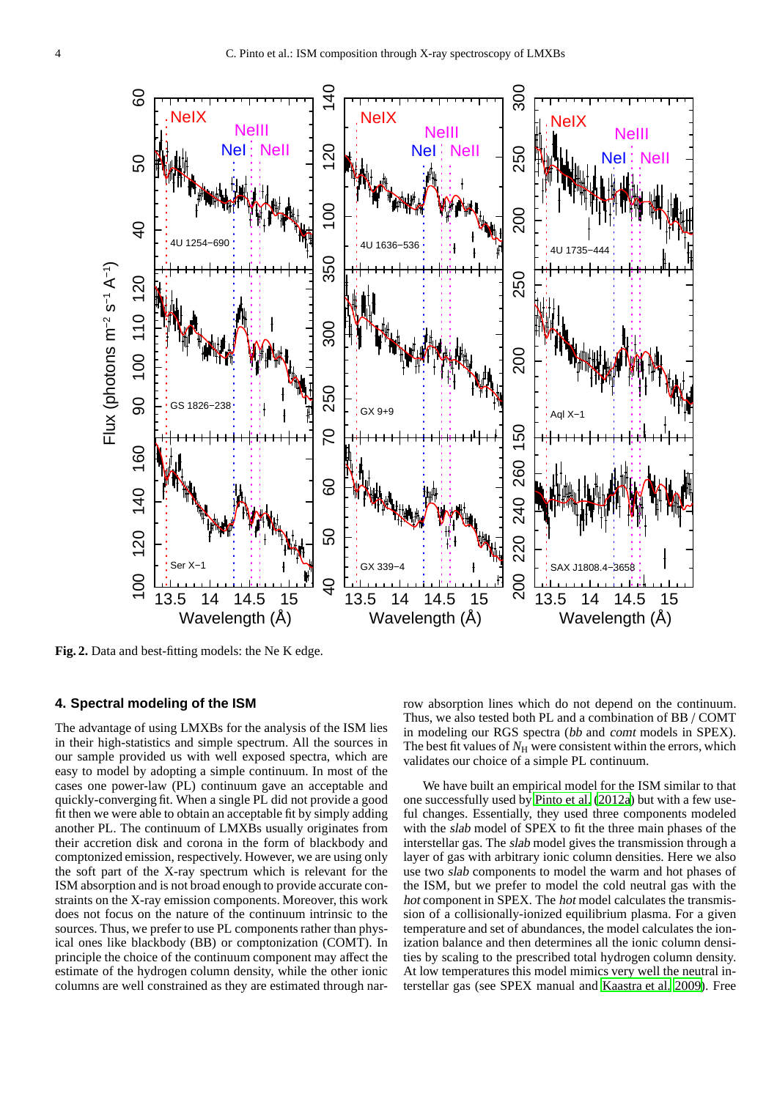<span id="page-3-2"></span>

<span id="page-3-1"></span>**Fig. 2.** Data and best-fitting models: the Ne K edge.

# <span id="page-3-0"></span>**4. Spectral modeling of the ISM**

The advantage of using LMXBs for the analysis of the ISM lies in their high-statistics and simple spectrum. All the sources in our sample provided us with well exposed spectra, which are easy to model by adopting a simple continuum. In most of the cases one power-law (PL) continuum gave an acceptable and quickly-converging fit. When a single PL did not provide a good fit then we were able to obtain an acceptable fit by simply adding another PL. The continuum of LMXBs usually originates from their accretion disk and corona in the form of blackbody and comptonized emission, respectively. However, we are using only the soft part of the X-ray spectrum which is relevant for the ISM absorption and is not broad enough to provide accurate constraints on the X-ray emission components. Moreover, this work does not focus on the nature of the continuum intrinsic to the sources. Thus, we prefer to use PL components rather than physical ones like blackbody (BB) or comptonization (COMT). In principle the choice of the continuum component may affect the estimate of the hydrogen column density, while the other ionic columns are well constrained as they are estimated through narrow absorption lines which do not depend on the continuum. Thus, we also tested both PL and a combination of BB / COMT in modeling our RGS spectra (bb and comt models in SPEX). The best fit values of  $N<sub>H</sub>$  were consistent within the errors, which validates our choice of a simple PL continuum.

We have built an empirical model for the ISM similar to that one successfully used by [Pinto et al. \(2012a\)](#page-12-4) but with a few useful changes. Essentially, they used three components modeled with the slab model of SPEX to fit the three main phases of the interstellar gas. The slab model gives the transmission through a layer of gas with arbitrary ionic column densities. Here we also use two slab components to model the warm and hot phases of the ISM, but we prefer to model the cold neutral gas with the hot component in SPEX. The hot model calculates the transmission of a collisionally-ionized equilibrium plasma. For a given temperature and set of abundances, the model calculates the ionization balance and then determines all the ionic column densities by scaling to the prescribed total hydrogen column density. At low temperatures this model mimics very well the neutral interstellar gas (see SPEX manual and [Kaastra et al. 2009\)](#page-11-7). Free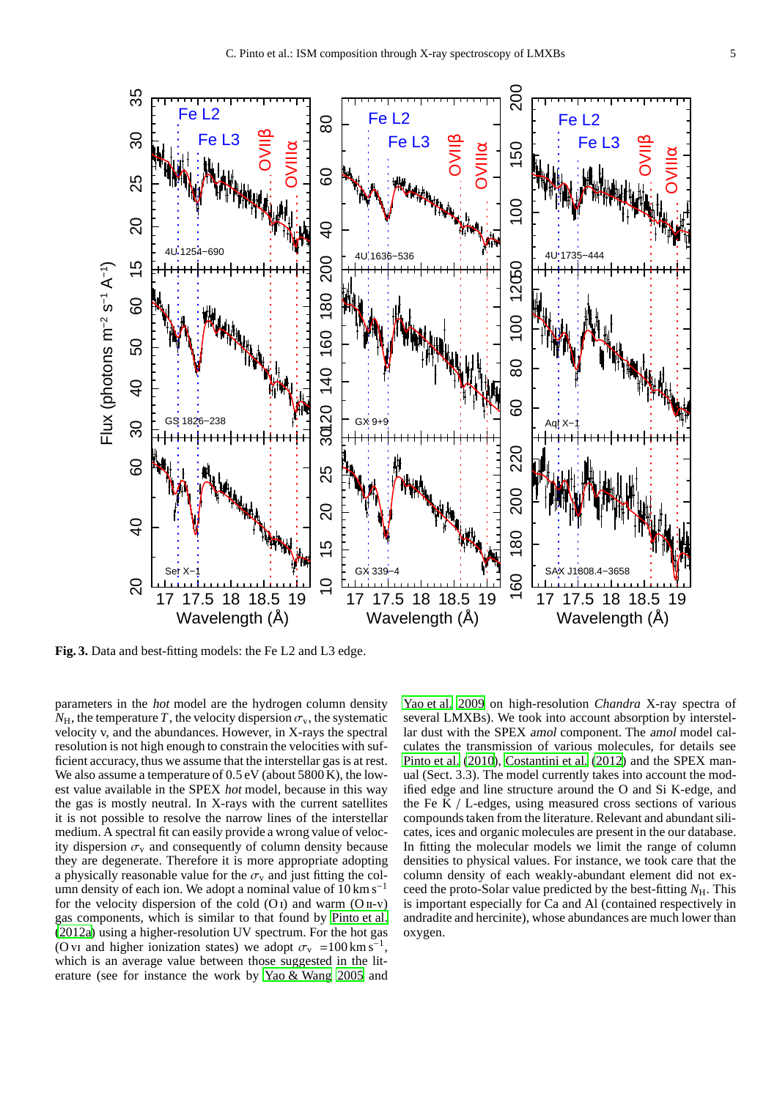

<span id="page-4-0"></span>**Fig. 3.** Data and best-fitting models: the Fe L2 and L3 edge.

parameters in the hot model are the hydrogen column density  $N_{\rm H}$ , the temperature *T*, the velocity dispersion  $\sigma_{\rm v}$ , the systematic velocity v, and the abundances. However, in X-rays the spectral resolution is not high enough to constrain the velocities with sufficient accuracy, thus we assume that the interstellar gas is at rest. We also assume a temperature of  $0.5 \text{ eV}$  (about 5800 K), the lowest value available in the SPEX hot model, because in this way the gas is mostly neutral. In X-rays with the current satellites it is not possible to resolve the narrow lines of the interstellar medium. A spectral fit can easily provide a wrong value of velocity dispersion  $\sigma_{v}$  and consequently of column density because they are degenerate. Therefore it is more appropriate adopting a physically reasonable value for the  $\sigma_{\rm v}$  and just fitting the column density of each ion. We adopt a nominal value of  $10 \text{ km s}^{-1}$ for the velocity dispersion of the cold  $(O<sub>I</sub>)$  and warm  $(O<sub>II-V</sub>)$ gas components, which is similar to that found by [Pinto et al.](#page-12-4) [\(2012a\)](#page-12-4) using a higher-resolution UV spectrum. For the hot gas (O vi and higher ionization states) we adopt  $\sigma_v = 100 \text{ km s}^{-1}$ , which is an average value between those suggested in the literature (see for instance the work by [Yao & Wang 2005](#page-12-7) and

[Yao et al. 2009](#page-12-8) on high-resolution *Chandra* X-ray spectra of several LMXBs). We took into account absorption by interstellar dust with the SPEX amol component. The amol model calculates the transmission of various molecules, for details see [Pinto et al. \(2010](#page-12-2)), [Costantini et al. \(2012\)](#page-11-5) and the SPEX manual (Sect. 3.3). The model currently takes into account the modified edge and line structure around the O and Si K-edge, and the Fe K / L-edges, using measured cross sections of various compounds taken from the literature. Relevant and abundant silicates, ices and organic molecules are present in the our database. In fitting the molecular models we limit the range of column densities to physical values. For instance, we took care that the column density of each weakly-abundant element did not exceed the proto-Solar value predicted by the best-fitting  $N_{\rm H}$ . This is important especially for Ca and Al (contained respectively in andradite and hercinite), whose abundances are much lower than oxygen.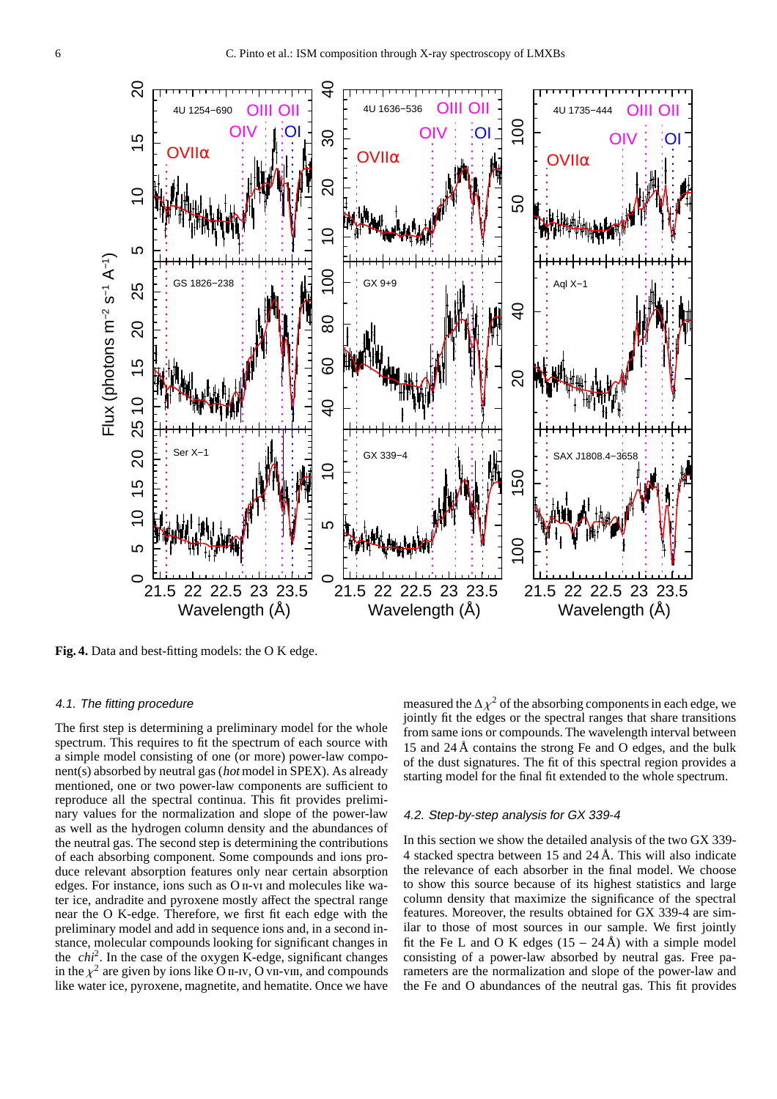

<span id="page-5-0"></span>**Fig. 4.** Data and best-fitting models: the O K edge.

#### 4.1. The fitting procedure

The first step is determining a preliminary model for the whole spectrum. This requires to fit the spectrum of each source with a simple model consisting of one (or more) power-law component(s) absorbed by neutral gas (hot model in SPEX). As already mentioned, one or two power-law components are sufficient to reproduce all the spectral continua. This fit provides preliminary values for the normalization and slope of the power-law as well as the hydrogen column density and the abundances of the neutral gas. The second step is determining the contributions of each absorbing component. Some compounds and ions produce relevant absorption features only near certain absorption edges. For instance, ions such as O<sub>II</sub>-v<sub>I</sub> and molecules like water ice, andradite and pyroxene mostly affect the spectral range near the O K-edge. Therefore, we first fit each edge with the preliminary model and add in sequence ions and, in a second instance, molecular compounds looking for significant changes in the *chi*<sup>2</sup> . In the case of the oxygen K-edge, significant changes in the  $\chi^2$  are given by ions like O II-IV, O VII-VIII, and compounds like water ice, pyroxene, magnetite, and hematite. Once we have

measured the  $\Delta \chi^2$  of the absorbing components in each edge, we jointly fit the edges or the spectral ranges that share transitions from same ions or compounds. The wavelength interval between 15 and 24 Å contains the strong Fe and O edges, and the bulk of the dust signatures. The fit of this spectral region provides a starting model for the final fit extended to the whole spectrum.

#### <span id="page-5-1"></span>4.2. Step-by-step analysis for GX 339-4

In this section we show the detailed analysis of the two GX 339- 4 stacked spectra between 15 and 24 Å. This will also indicate the relevance of each absorber in the final model. We choose to show this source because of its highest statistics and large column density that maximize the significance of the spectral features. Moreover, the results obtained for GX 339-4 are similar to those of most sources in our sample. We first jointly fit the Fe L and O K edges  $(15 - 24 \text{ Å})$  with a simple model consisting of a power-law absorbed by neutral gas. Free parameters are the normalization and slope of the power-law and the Fe and O abundances of the neutral gas. This fit provides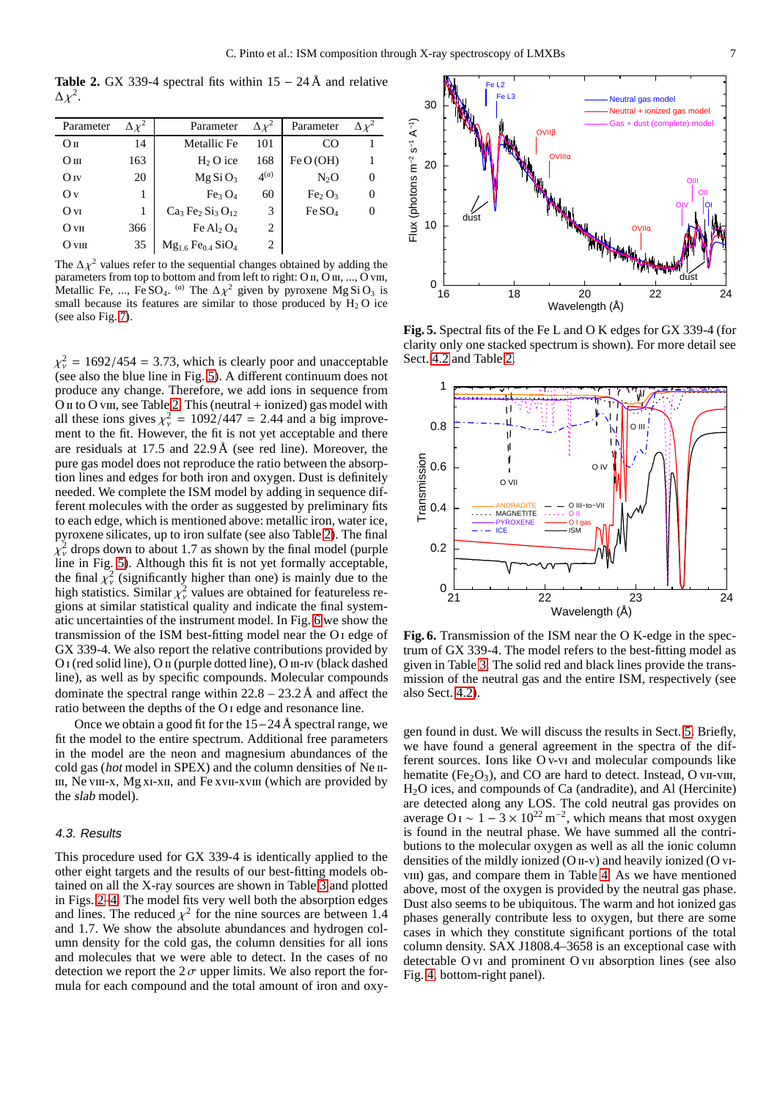<span id="page-6-1"></span>**Table 2.** GX 339-4 spectral fits within  $15 - 24 \text{ Å}$  and relative  $Δχ²$ .

|     | Parameter                      | $\Delta x^2$   | Parameter                      |   |
|-----|--------------------------------|----------------|--------------------------------|---|
| 14  | Metallic Fe                    | 101            | CO                             |   |
| 163 | $H2$ O ice                     | 168            | Fe O(OH)                       |   |
| 20  | MgSiO <sub>3</sub>             | $\Delta^{(a)}$ | N <sub>2</sub> O               | 0 |
| 1   | Fe <sub>3</sub> O <sub>4</sub> | 60             | Fe <sub>2</sub> O <sub>3</sub> | 0 |
| 1   | $Ca3Fe2 Si3O12$                | 3              | Fe SO <sub>4</sub>             | 0 |
| 366 | Fe Al <sub>2</sub> $O_4$       | 2              |                                |   |
| 35  | $Mg1.6 Fe0.4 SiO4$             | 2              |                                |   |
|     |                                |                |                                |   |

The  $\Delta \chi^2$  values refer to the sequential changes obtained by adding the parameters from top to bottom and from left to right: O II, O III, ..., O vIII, Metallic Fe, ..., Fe SO<sub>4</sub>. <sup>(*a*)</sup> The  $\Delta \chi^2$  given by pyroxene Mg SiO<sub>3</sub> is small because its features are similar to those produced by  $H_2 O$  ice (see also Fig. [7\)](#page-8-1).

 $\chi^2_{\nu}$  = 1692/454 = 3.73, which is clearly poor and unacceptable (see also the blue line in Fig. [5\)](#page-6-0). A different continuum does not produce any change. Therefore, we add ions in sequence from O  $\pi$  to O viii, see Table [2.](#page-6-1) This (neutral + ionized) gas model with all these ions gives  $\chi^2_v = 1092/447 = 2.44$  and a big improvement to the fit. However, the fit is not yet acceptable and there are residuals at 17.5 and 22.9 Å (see red line). Moreover, the pure gas model does not reproduce the ratio between the absorption lines and edges for both iron and oxygen. Dust is definitely needed. We complete the ISM model by adding in sequence different molecules with the order as suggested by preliminary fits to each edge, which is mentioned above: metallic iron, water ice, pyroxene silicates, up to iron sulfate (see also Table [2\)](#page-6-1). The final  $\chi^2_{\nu}$  drops down to about 1.7 as shown by the final model (purple line in Fig. [5\)](#page-6-0). Although this fit is not yet formally acceptable, the final  $\chi^2$  (significantly higher than one) is mainly due to the high statistics. Similar  $\chi^2_{\nu}$  values are obtained for featureless regions at similar statistical quality and indicate the final systematic uncertainties of the instrument model. In Fig. [6](#page-6-2) we show the transmission of the ISM best-fitting model near the O i edge of GX 339-4. We also report the relative contributions provided by O<sub>I</sub> (red solid line), O<sub>II</sub> (purple dotted line), O<sub>III</sub>-IV (black dashed line), as well as by specific compounds. Molecular compounds dominate the spectral range within  $22.8 - 23.2 \text{ Å}$  and affect the ratio between the depths of the O i edge and resonance line.

Once we obtain a good fit for the 15−24 Å spectral range, we fit the model to the entire spectrum. Additional free parameters in the model are the neon and magnesium abundances of the cold gas (hot model in SPEX) and the column densities of Ne II-III, Ne vIII-x, Mg xI-xII, and Fe xvII-xvIII (which are provided by the slab model).

## 4.3. Results

This procedure used for GX 339-4 is identically applied to the other eight targets and the results of our best-fitting models obtained on all the X-ray sources are shown in Table [3](#page-7-0) and plotted in Figs. [2–](#page-3-1)[4.](#page-5-0) The model fits very well both the absorption edges and lines. The reduced  $\chi^2$  for the nine sources are between 1.4 and 1.7. We show the absolute abundances and hydrogen column density for the cold gas, the column densities for all ions and molecules that we were able to detect. In the cases of no detection we report the  $2\sigma$  upper limits. We also report the formula for each compound and the total amount of iron and oxy-



<span id="page-6-0"></span>**Fig. 5.** Spectral fits of the Fe L and O K edges for GX 339-4 (for clarity only one stacked spectrum is shown). For more detail see Sect. [4.2](#page-5-1) and Table [2.](#page-6-1)



<span id="page-6-2"></span>**Fig. 6.** Transmission of the ISM near the O K-edge in the spectrum of GX 339-4. The model refers to the best-fitting model as given in Table [3.](#page-7-0) The solid red and black lines provide the transmission of the neutral gas and the entire ISM, respectively (see also Sect. [4.2\)](#page-5-1).

gen found in dust. We will discuss the results in Sect. [5.](#page-8-0) Briefly, we have found a general agreement in the spectra of the different sources. Ions like O v-vi and molecular compounds like hematite (Fe<sub>2</sub>O<sub>3</sub>), and CO are hard to detect. Instead, O vii-viii, H2O ices, and compounds of Ca (andradite), and Al (Hercinite) are detected along any LOS. The cold neutral gas provides on average O<sub>I</sub> ~ 1 –  $3 \times 10^{22}$  m<sup>-2</sup>, which means that most oxygen is found in the neutral phase. We have summed all the contributions to the molecular oxygen as well as all the ionic column densities of the mildly ionized  $(O_{II}-v)$  and heavily ionized  $(O_{VI}-v)$ viii) gas, and compare them in Table [4.](#page-12-9) As we have mentioned above, most of the oxygen is provided by the neutral gas phase. Dust also seems to be ubiquitous. The warm and hot ionized gas phases generally contribute less to oxygen, but there are some cases in which they constitute significant portions of the total column density. SAX J1808.4–3658 is an exceptional case with detectable O vi and prominent O vii absorption lines (see also Fig. [4,](#page-5-0) bottom-right panel).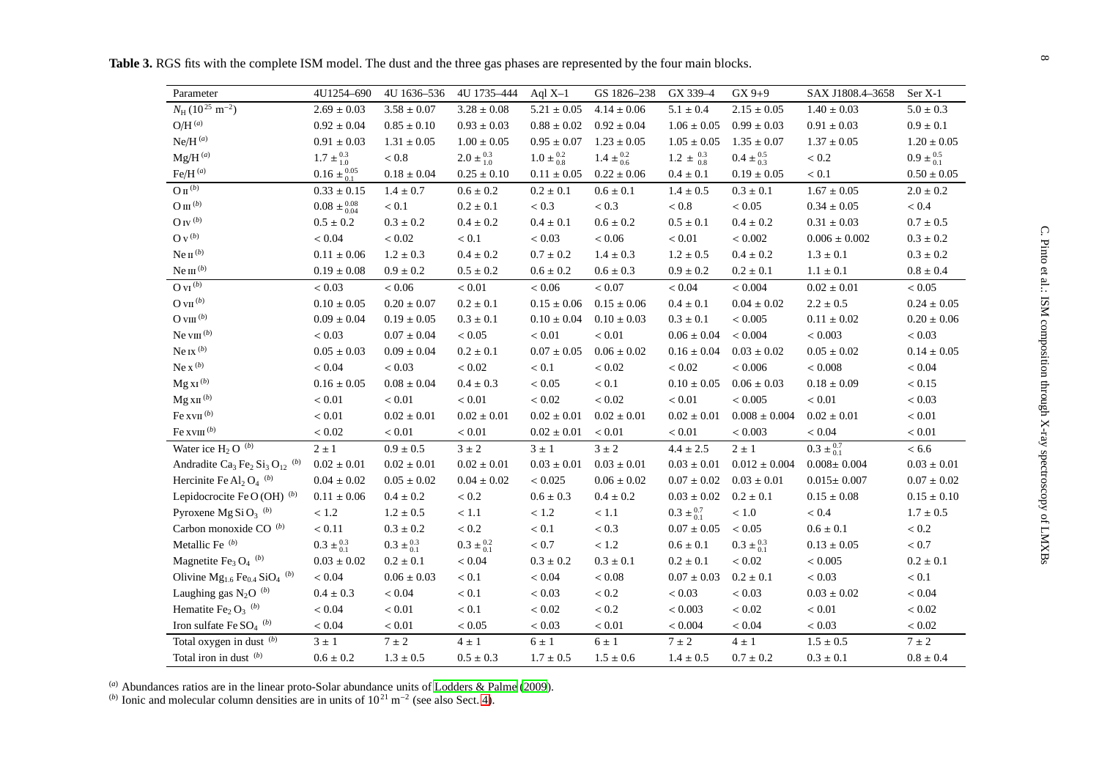<span id="page-7-0"></span>

| Parameter                                                                                | 4U1254-690                         | 4U 1636-536                     | 4U 1735-444                     | Aql $X-1$                       | GS 1826-238                     | GX 339-4                        | $GX 9+9$                        | SAX J1808.4-3658          | Ser X-1                         |
|------------------------------------------------------------------------------------------|------------------------------------|---------------------------------|---------------------------------|---------------------------------|---------------------------------|---------------------------------|---------------------------------|---------------------------|---------------------------------|
| $N_H (10^{25} \text{ m}^{-2})$                                                           | $2.69 \pm 0.03$                    | $3.58\pm0.07$                   | $3.28 \pm 0.08$                 | $5.21 \pm 0.05$                 | $4.14 \pm 0.06$                 | $5.1\pm0.4$                     | $2.15\pm0.05$                   | $1.40\pm0.03$             | $5.0 \pm 0.3$                   |
| $O/H^{(a)}$                                                                              | $0.92 \pm 0.04$                    | $0.85\pm0.10$                   | $0.93\pm0.03$                   | $0.88 \pm 0.02$                 | $0.92 \pm 0.04$                 | $1.06 \pm 0.05$                 | $0.99 \pm 0.03$                 | $0.91 \pm 0.03$           | $0.9\pm0.1$                     |
| $Ne/H^{(a)}$                                                                             | $0.91 \pm 0.03$                    | $1.31\pm0.05$                   | $1.00 \pm 0.05$                 | $0.95 \pm 0.07$                 | $1.23 \pm 0.05$                 | $1.05 \pm 0.05$                 | $1.35 \pm 0.07$                 | $1.37 \pm 0.05$           | $1.20\pm0.05$                   |
| $Mg/H^{(a)}$                                                                             | $1.7 \pm \substack{0.3 \\ 1.0}$    | $< 0.8$                         | $2.0 \pm \substack{0.3 \\ 1.0}$ | $1.0 \pm \substack{0.2 \\ 0.8}$ | $1.4 \pm \frac{0.2}{0.6}$       | $1.2 \pm \frac{0.3}{0.8}$       | $0.4 \pm \frac{0.5}{0.3}$       | $< 0.2\,$                 | $0.9 \pm \substack{0.5 \\ 0.1}$ |
| Fe/H $^{(a)}$                                                                            | $0.16 \pm {}^{0.05}_{0.1}$         | $0.18 \pm 0.04$                 | $0.25 \pm 0.10$                 |                                 | $0.11 \pm 0.05$ $0.22 \pm 0.06$ | $0.4 \pm 0.1$                   | $0.19 \pm 0.05$                 | < 0.1                     | $0.50 \pm 0.05$                 |
| $O\pi^{(b)}$                                                                             | $0.33 \pm 0.15$                    | $1.4\pm0.7$                     | $0.6\pm0.2$                     | $0.2\pm0.1$                     | $0.6 \pm 0.1$                   | $1.4\pm0.5$                     | $0.3\pm0.1$                     | $1.67\pm0.05$             | $2.0 \pm 0.2$                   |
| $\mathop{\rm O}\nolimits$ m $^{(b)}$                                                     | $0.08 \pm \substack{0.08 \\ 0.04}$ | $< 0.1$                         | $0.2 \pm 0.1$                   | $< 0.3$                         | < 0.3                           | $< 0.8\,$                       | ${}< 0.05$                      | $0.34\pm0.05$             | $< 0.4$                         |
| O IV $^{\left(b\right)}$                                                                 | $0.5\pm0.2$                        | $0.3 \pm 0.2$                   | $0.4\pm0.2$                     | $0.4\pm0.1$                     | $0.6\pm0.2$                     | $0.5\pm0.1$                     | $0.4 \pm 0.2$                   | $0.31\pm0.03$             | $0.7\pm0.5$                     |
| O v $^{\left(b\right)}$                                                                  | < 0.04                             | < 0.02                          | $< 0.1\,$                       | ${}< 0.03$                      | ${}< 0.06$                      | $< 0.01$                        | < 0.002                         | $0.006\pm0.002$           | $0.3 \pm 0.2$                   |
| $Ne II^{(b)}$                                                                            | $0.11\pm0.06$                      | $1.2\pm0.3$                     | $0.4\pm0.2$                     | $0.7\pm0.2$                     | $1.4 \pm 0.3$                   | $1.2\pm0.5$                     | $0.4\pm0.2$                     | $1.3\pm0.1$               | $0.3\pm0.2$                     |
| Ne $\text{III}^{(b)}$                                                                    | $0.19 \pm 0.08$                    | $0.9\pm0.2$                     | $0.5\pm0.2$                     | $0.6\pm0.2$                     | $0.6 \pm 0.3$                   | $0.9 \pm 0.2$                   | $0.2\pm0.1$                     | $1.1\pm0.1$               | $0.8 \pm 0.4$                   |
| $OVI^{(b)}$                                                                              | < 0.03                             | 0.06 <                          | < 0.01                          | ${}< 0.06$                      | < 0.07                          | ${}< 0.04$                      | < 0.004                         | $0.02 \pm 0.01$           | < 0.05                          |
| O vII $^{(b)}$                                                                           | $0.10 \pm 0.05$                    | $0.20 \pm 0.07$                 | $0.2\pm0.1$                     | $0.15 \pm 0.06$                 | $0.15 \pm 0.06$                 | $0.4\pm0.1$                     | $0.04 \pm 0.02$                 | $2.2\pm0.5$               | $0.24 \pm 0.05$                 |
| O viii $^{\left(b\right)}$                                                               | $0.09 \pm 0.04$                    | $0.19 \pm 0.05$                 | $0.3 \pm 0.1$                   | $0.10 \pm 0.04$                 | $0.10 \pm 0.03$                 | $0.3\pm0.1$                     | $< 0.005$                       | $0.11\pm0.02$             | $0.20 \pm 0.06$                 |
| Ne viii $(b)$                                                                            | ${}< 0.03$                         | $0.07\pm0.04$                   | < 0.05                          | $< 0.01\,$                      | $< 0.01$                        | $0.06 \pm 0.04$                 | ${}< 0.004$                     | $< 0.003$                 | ${}< 0.03$                      |
| Ne ix $(b)$                                                                              | $0.05\pm0.03$                      | $0.09 \pm 0.04$                 | $0.2 \pm 0.1$                   | $0.07 \pm 0.05$                 | $0.06 \pm 0.02$                 | $0.16 \pm 0.04$                 | $0.03 \pm 0.02$                 | $0.05\pm0.02$             | $0.14\pm0.05$                   |
| Ne $x^{(b)}$                                                                             | $< 0.04$                           | < 0.03                          | ${}< 0.02$                      | < 0.1                           | $< 0.02$                        | $< 0.02$                        | < 0.006                         | $< 0.008$                 | < 0.04                          |
| $Mg XI^{(b)}$                                                                            | $0.16\pm0.05$                      | $0.08 \pm 0.04$                 | $0.4 \pm 0.3$                   | ${}< 0.05$                      | $< 0.1$                         | $0.10 \pm 0.05$                 | $0.06 \pm 0.03$                 | $0.18\pm0.09$             | < 0.15                          |
| $Mg$ XII $(b)$                                                                           | $< 0.01\,$                         | $< 0.01$                        | $< 0.01$                        | $< 0.02$                        | < 0.02                          | $< 0.01$                        | $< 0.005$                       | $< 0.01\,$                | ${}< 0.03$                      |
| Fe xv $\scriptstyle\rm II$ <sup>(b)</sup>                                                | $< 0.01\,$                         | $0.02 \pm 0.01$                 | $0.02 \pm 0.01$                 | $0.02 \pm 0.01$                 | $0.02\pm0.01$                   | $0.02 \pm 0.01$                 | $0.008 \pm 0.004$               | $0.02 \pm 0.01$           | $< 0.01\,$                      |
| Fe xv $\text{III}^{(b)}$                                                                 | < 0.02                             | $< 0.01\,$                      | $< 0.01\,$                      | $0.02 \pm 0.01$                 | ${}< 0.01$                      | $< 0.01\,$                      | < 0.003                         | ${}< 0.04$                | $< 0.01\,$                      |
| Water ice $H_2$ O $(b)$                                                                  | $2\pm1$                            | $0.9 \pm 0.5$                   | $3 \pm 2$                       | $3 \pm 1$                       | $3 \pm 2$                       | $4.4\pm2.5$                     | $2\pm1$                         | $0.3 \pm \frac{0.7}{0.1}$ | < 6.6                           |
| Andradite Ca <sub>3</sub> Fe <sub>2</sub> Si <sub>3</sub> O <sub>12</sub> <sup>(b)</sup> | $0.02\pm0.01$                      | $0.02 \pm 0.01$                 | $0.02 \pm 0.01$                 | $0.03 \pm 0.01$                 | $0.03 \pm 0.01$                 | $0.03 \pm 0.01$                 | $0.012 \pm 0.004$               | $0.008 \pm 0.004$         | $0.03\pm0.01$                   |
| Hercinite Fe Al <sub>2</sub> $O_4$ <sup>(b)</sup>                                        | $0.04 \pm 0.02$                    | $0.05 \pm 0.02$                 | $0.04 \pm 0.02$                 | < 0.025                         | $0.06 \pm 0.02$                 | $0.07 \pm 0.02$ $0.03 \pm 0.01$ |                                 | $0.015 \pm 0.007$         | $0.07\pm0.02$                   |
| Lepidocrocite Fe O (OH) $(b)$                                                            | $0.11\pm0.06$                      | $0.4\pm0.2$                     | $< 0.2\,$                       | $0.6\pm0.3$                     | $0.4\pm0.2$                     | $0.03 \pm 0.02$ $0.2 \pm 0.1$   |                                 | $0.15\pm0.08$             | $0.15\pm0.10$                   |
| Pyroxene Mg Si O <sub>3</sub> <sup>(b)</sup>                                             | < 1.2                              | $1.2 \pm 0.5$                   | < 1.1                           | $<1.2\,$                        | $<1.1\,$                        | $0.3 \pm {}^{0.7}_{0.1}$        | $<1.0\,$                        | $< 0.4$                   | $1.7 \pm 0.5$                   |
| Carbon monoxide CO (b)                                                                   | < 0.11                             | $0.3\pm0.2$                     | $< 0.2\,$                       | $< 0.1$                         | $< 0.3$                         | $0.07 \pm 0.05$                 | $< 0.05$                        | $0.6\pm0.1$               | $< 0.2\,$                       |
| Metallic Fe <sup>(b)</sup>                                                               | $0.3 \pm \substack{0.3 \\ 0.1}$    | $0.3 \pm \substack{0.3 \\ 0.1}$ | $0.3 \pm {}^{0.2}_{0.1}$        | $< 0.7$                         | $<1.2\,$                        | $0.6\pm0.1$                     | $0.3 \pm \substack{0.3 \\ 0.1}$ | $0.13 \pm 0.05$           | $< 0.7$                         |
| Magnetite Fe <sub>3</sub> O <sub>4</sub> <sup>(b)</sup>                                  | $0.03\pm0.02$                      | $0.2 \pm 0.1$                   | $< 0.04\,$                      | $0.3 \pm 0.2$                   | $0.3 \pm 0.1$                   | $0.2 \pm 0.1$                   | ${}< 0.02$                      | $< 0.005\,$               | $0.2\pm0.1$                     |
| Olivine $Mg_{1,6}$ Fe <sub>0.4</sub> SiO <sub>4</sub> <sup>(b)</sup>                     | $< 0.04\,$                         | $0.06 \pm 0.03$                 | $< 0.1\,$                       | $< 0.04$                        | $< 0.08$                        | $0.07 \pm 0.03$                 | $0.2\pm0.1$                     | ${}< 0.03$                | $< 0.1\,$                       |
| Laughing gas $N_2O^{(b)}$                                                                | $0.4\pm0.3$                        | $< 0.04$                        | $< 0.1$                         | ${}< 0.03$                      | $< 0.2$                         | ${}< 0.03$                      | < 0.03                          | $0.03\pm0.02$             | < 0.04                          |
| Hematite Fe <sub>2</sub> $O_3$ <sup>(b)</sup>                                            | $< 0.04\,$                         | $< 0.01$                        | $< 0.1$                         | $< 0.02$                        | $< 0.2$                         | < 0.003                         | $< 0.02$                        | $< 0.01\,$                | $< 0.02$                        |
| Iron sulfate Fe $SO_4$ <sup>(b)</sup>                                                    | $< 0.04$                           | $< 0.01$                        | < 0.05                          | $< 0.03$                        | $< 0.01$                        | $< 0.004$                       | $< 0.04$                        | < 0.03                    | $< 0.02$                        |
| Total oxygen in dust (b)                                                                 | $3\pm1$                            | $7\pm2$                         | $4\pm1$                         | $6\pm1$                         | $6\pm1$                         | $7\pm2$                         | $4\pm1$                         | $1.5\pm0.5$               | $7 \pm 2$                       |
| Total iron in dust (b)                                                                   | $0.6 \pm 0.2$                      | $1.3\pm0.5$                     | $0.5 \pm 0.3$                   | $1.7 \pm 0.5$                   | $1.5\pm0.6$                     | $1.4 \pm 0.5$                   | $0.7 \pm 0.2$                   | $0.3\pm0.1$               | $0.8 \pm 0.4$                   |

(*a*) Abundances ratios are in the linear proto-Solar abundance units of [Lodders](#page-11-20) & Palme [\(2009](#page-11-20)).<br>(*b*) Ionic and molecular column densities are in units of 10<sup>21</sup> m<sup>−2</sup> (see also Sect. [4\)](#page-3-2).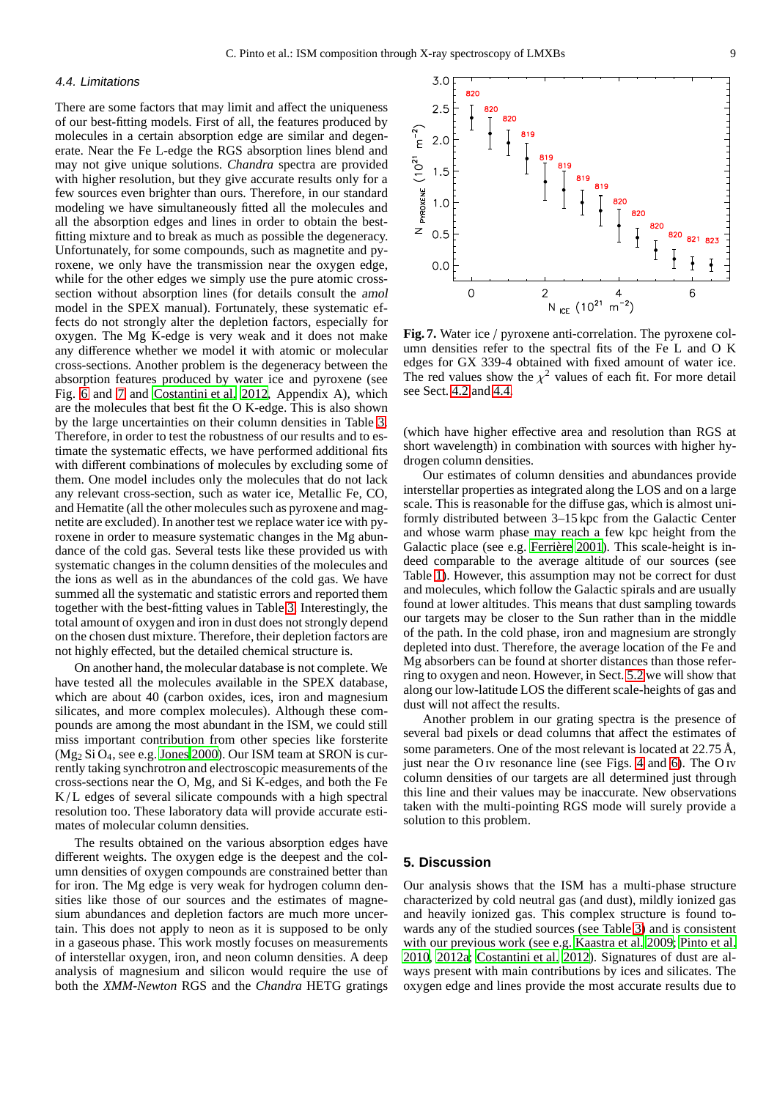## <span id="page-8-2"></span>4.4. Limitations

There are some factors that may limit and affect the uniqueness of our best-fitting models. First of all, the features produced by molecules in a certain absorption edge are similar and degenerate. Near the Fe L-edge the RGS absorption lines blend and may not give unique solutions. *Chandra* spectra are provided with higher resolution, but they give accurate results only for a few sources even brighter than ours. Therefore, in our standard modeling we have simultaneously fitted all the molecules and all the absorption edges and lines in order to obtain the bestfitting mixture and to break as much as possible the degeneracy. Unfortunately, for some compounds, such as magnetite and pyroxene, we only have the transmission near the oxygen edge, while for the other edges we simply use the pure atomic crosssection without absorption lines (for details consult the amol model in the SPEX manual). Fortunately, these systematic effects do not strongly alter the depletion factors, especially for oxygen. The Mg K-edge is very weak and it does not make any difference whether we model it with atomic or molecular cross-sections. Another problem is the degeneracy between the absorption features produced by water ice and pyroxene (see Fig. [6](#page-6-2) and [7](#page-8-1) and [Costantini et al. 2012,](#page-11-5) Appendix A), which are the molecules that best fit the O K-edge. This is also shown by the large uncertainties on their column densities in Table [3.](#page-7-0) Therefore, in order to test the robustness of our results and to estimate the systematic effects, we have performed additional fits with different combinations of molecules by excluding some of them. One model includes only the molecules that do not lack any relevant cross-section, such as water ice, Metallic Fe, CO, and Hematite (all the other molecules such as pyroxene and magnetite are excluded). In another test we replace water ice with pyroxene in order to measure systematic changes in the Mg abundance of the cold gas. Several tests like these provided us with systematic changes in the column densities of the molecules and the ions as well as in the abundances of the cold gas. We have summed all the systematic and statistic errors and reported them together with the best-fitting values in Table [3.](#page-7-0) Interestingly, the total amount of oxygen and iron in dust does not strongly depend on the chosen dust mixture. Therefore, their depletion factors are not highly effected, but the detailed chemical structure is.

On another hand, the molecular database is not complete. We have tested all the molecules available in the SPEX database, which are about 40 (carbon oxides, ices, iron and magnesium silicates, and more complex molecules). Although these compounds are among the most abundant in the ISM, we could still miss important contribution from other species like forsterite  $(Mg_2 Si O_4,$  see e.g. [Jones 2000\)](#page-11-21). Our ISM team at SRON is currently taking synchrotron and electroscopic measurements of the cross-sections near the O, Mg, and Si K-edges, and both the Fe  $K/L$  edges of several silicate compounds with a high spectral resolution too. These laboratory data will provide accurate estimates of molecular column densities.

The results obtained on the various absorption edges have different weights. The oxygen edge is the deepest and the column densities of oxygen compounds are constrained better than for iron. The Mg edge is very weak for hydrogen column densities like those of our sources and the estimates of magnesium abundances and depletion factors are much more uncertain. This does not apply to neon as it is supposed to be only in a gaseous phase. This work mostly focuses on measurements of interstellar oxygen, iron, and neon column densities. A deep analysis of magnesium and silicon would require the use of both the *XMM-Newton* RGS and the *Chandra* HETG gratings



<span id="page-8-1"></span>**Fig. 7.** Water ice / pyroxene anti-correlation. The pyroxene column densities refer to the spectral fits of the Fe L and O K edges for GX 339-4 obtained with fixed amount of water ice. The red values show the  $\chi^2$  values of each fit. For more detail see Sect. [4.2](#page-5-1) and [4.4.](#page-8-2)

(which have higher effective area and resolution than RGS at short wavelength) in combination with sources with higher hydrogen column densities.

Our estimates of column densities and abundances provide interstellar properties as integrated along the LOS and on a large scale. This is reasonable for the diffuse gas, which is almost uniformly distributed between 3–15 kpc from the Galactic Center and whose warm phase may reach a few kpc height from the Galactic place (see e.g. Ferrière 2001). This scale-height is indeed comparable to the average altitude of our sources (see Table [1\)](#page-2-0). However, this assumption may not be correct for dust and molecules, which follow the Galactic spirals and are usually found at lower altitudes. This means that dust sampling towards our targets may be closer to the Sun rather than in the middle of the path. In the cold phase, iron and magnesium are strongly depleted into dust. Therefore, the average location of the Fe and Mg absorbers can be found at shorter distances than those referring to oxygen and neon. However, in Sect. [5.2](#page-9-0) we will show that along our low-latitude LOS the different scale-heights of gas and dust will not affect the results.

Another problem in our grating spectra is the presence of several bad pixels or dead columns that affect the estimates of some parameters. One of the most relevant is located at 22.75 Å, just near the O<sub>IV</sub> resonance line (see Figs. [4](#page-5-0) and [6\)](#page-6-2). The O<sub>IV</sub> column densities of our targets are all determined just through this line and their values may be inaccurate. New observations taken with the multi-pointing RGS mode will surely provide a solution to this problem.

# <span id="page-8-0"></span>**5. Discussion**

Our analysis shows that the ISM has a multi-phase structure characterized by cold neutral gas (and dust), mildly ionized gas and heavily ionized gas. This complex structure is found towards any of the studied sources (see Table [3\)](#page-7-0) and is consistent with our previous work (see e.g. [Kaastra et al. 2009;](#page-11-7) [Pinto et](#page-12-2) al. [2010,](#page-12-2) [2012a](#page-12-4); [Costantini et al. 2012\)](#page-11-5). Signatures of dust are always present with main contributions by ices and silicates. The oxygen edge and lines provide the most accurate results due to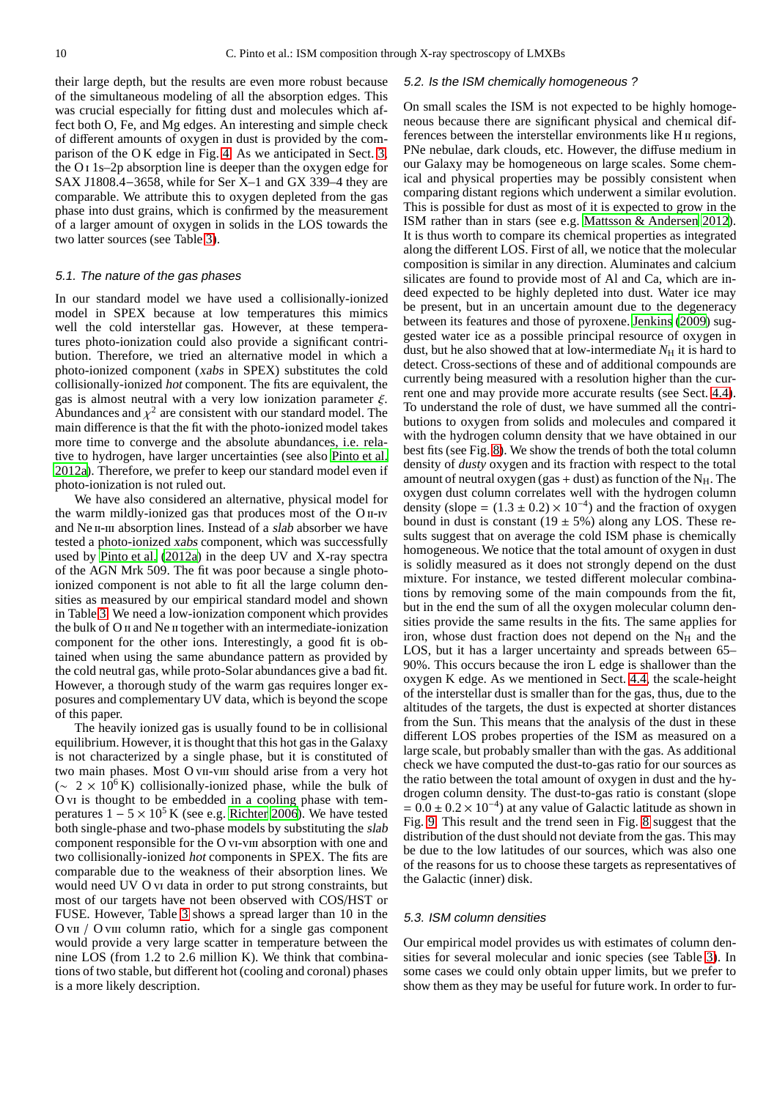their large depth, but the results are even more robust because of the simultaneous modeling of all the absorption edges. This was crucial especially for fitting dust and molecules which affect both O, Fe, and Mg edges. An interesting and simple check of different amounts of oxygen in dust is provided by the comparison of the O K edge in Fig. [4.](#page-5-0) As we anticipated in Sect. [3,](#page-1-2) the  $O<sub>I</sub> 1s-2p$  absorption line is deeper than the oxygen edge for SAX J1808.4−3658, while for Ser X–1 and GX 339–4 they are comparable. We attribute this to oxygen depleted from the gas phase into dust grains, which is confirmed by the measurement of a larger amount of oxygen in solids in the LOS towards the two latter sources (see Table [3\)](#page-7-0).

#### 5.1. The nature of the gas phases

In our standard model we have used a collisionally-ionized model in SPEX because at low temperatures this mimics well the cold interstellar gas. However, at these temperatures photo-ionization could also provide a significant contribution. Therefore, we tried an alternative model in which a photo-ionized component (xabs in SPEX) substitutes the cold collisionally-ionized hot component. The fits are equivalent, the gas is almost neutral with a very low ionization parameter  $\xi$ . Abundances and  $\chi^2$  are consistent with our standard model. The main difference is that the fit with the photo-ionized model takes more time to converge and the absolute abundances, i.e. relative to hydrogen, have larger uncertainties (see also [Pinto](#page-12-4) et al. [2012a\)](#page-12-4). Therefore, we prefer to keep our standard model even if photo-ionization is not ruled out.

We have also considered an alternative, physical model for the warm mildly-ionized gas that produces most of the O II-IV and Ne II-III absorption lines. Instead of a slab absorber we have tested a photo-ionized xabs component, which was successfully used by [Pinto et al.](#page-12-4) [\(2012a](#page-12-4)) in the deep UV and X-ray spectra of the AGN Mrk 509. The fit was poor because a single photoionized component is not able to fit all the large column densities as measured by our empirical standard model and shown in Table [3.](#page-7-0) We need a low-ionization component which provides the bulk of O ii and Ne ii together with an intermediate-ionization component for the other ions. Interestingly, a good fit is obtained when using the same abundance pattern as provided by the cold neutral gas, while proto-Solar abundances give a bad fit. However, a thorough study of the warm gas requires longer exposures and complementary UV data, which is beyond the scope of this paper.

The heavily ionized gas is usually found to be in collisional equilibrium. However, it is thought that this hot gas in the Galaxy is not characterized by a single phase, but it is constituted of two main phases. Most O vII-vIII should arise from a very hot  $({\sim 2 \times 10^6 \text{ K}})$  collisionally-ionized phase, while the bulk of O vi is thought to be embedded in a cooling phase with temperatures  $1 - 5 \times 10^5$  K (see e.g. [Richter 2006\)](#page-12-1). We have tested both single-phase and two-phase models by substituting the slab component responsible for the O vi-viii absorption with one and two collisionally-ionized hot components in SPEX. The fits are comparable due to the weakness of their absorption lines. We would need UV O vi data in order to put strong constraints, but most of our targets have not been observed with COS/HST or FUSE. However, Table [3](#page-7-0) shows a spread larger than 10 in the O v<sub>II</sub> / O v<sub>III</sub> column ratio, which for a single gas component would provide a very large scatter in temperature between the nine LOS (from 1.2 to 2.6 million K). We think that combinations of two stable, but different hot (cooling and coronal) phases is a more likely description.

#### <span id="page-9-0"></span>5.2. Is the ISM chemically homogeneous ?

On small scales the ISM is not expected to be highly homogeneous because there are significant physical and chemical differences between the interstellar environments like H  $\mu$  regions, PNe nebulae, dark clouds, etc. However, the diffuse medium in our Galaxy may be homogeneous on large scales. Some chemical and physical properties may be possibly consistent when comparing distant regions which underwent a similar evolution. This is possible for dust as most of it is expected to grow in the ISM rather than in stars (see e.g. [Mattsson & Andersen 2012\)](#page-11-9). It is thus worth to compare its chemical properties as integrated along the different LOS. First of all, we notice that the molecular composition is similar in any direction. Aluminates and calcium silicates are found to provide most of Al and Ca, which are indeed expected to be highly depleted into dust. Water ice may be present, but in an uncertain amount due to the degeneracy between its features and those of pyroxene. [Jenkins](#page-11-10) [\(2009\)](#page-11-10) suggested water ice as a possible principal resource of oxygen in dust, but he also showed that at low-intermediate  $N_H$  it is hard to detect. Cross-sections of these and of additional compounds are currently being measured with a resolution higher than the current one and may provide more accurate results (see Sect. [4.4\)](#page-8-2). To understand the role of dust, we have summed all the contributions to oxygen from solids and molecules and compared it with the hydrogen column density that we have obtained in our best fits (see Fig. [8\)](#page-10-0). We show the trends of both the total column density of *dusty* oxygen and its fraction with respect to the total amount of neutral oxygen (gas + dust) as function of the  $N_H$ . The oxygen dust column correlates well with the hydrogen column density (slope =  $(1.3 \pm 0.2) \times 10^{-4}$ ) and the fraction of oxygen bound in dust is constant (19  $\pm$  5%) along any LOS. These results suggest that on average the cold ISM phase is chemically homogeneous. We notice that the total amount of oxygen in dust is solidly measured as it does not strongly depend on the dust mixture. For instance, we tested different molecular combinations by removing some of the main compounds from the fit, but in the end the sum of all the oxygen molecular column densities provide the same results in the fits. The same applies for iron, whose dust fraction does not depend on the  $N_H$  and the LOS, but it has a larger uncertainty and spreads between 65– 90%. This occurs because the iron L edge is shallower than the oxygen K edge. As we mentioned in Sect. [4.4,](#page-8-2) the scale-height of the interstellar dust is smaller than for the gas, thus, due to the altitudes of the targets, the dust is expected at shorter distances from the Sun. This means that the analysis of the dust in these different LOS probes properties of the ISM as measured on a large scale, but probably smaller than with the gas. As additional check we have computed the dust-to-gas ratio for our sources as the ratio between the total amount of oxygen in dust and the hydrogen column density. The dust-to-gas ratio is constant (slope  $= 0.0 \pm 0.2 \times 10^{-4}$ ) at any value of Galactic latitude as shown in Fig. [9.](#page-10-1) This result and the trend seen in Fig. [8](#page-10-0) suggest that the distribution of the dust should not deviate from the gas. This may be due to the low latitudes of our sources, which was also one of the reasons for us to choose these targets as representatives of the Galactic (inner) disk.

#### 5.3. ISM column densities

Our empirical model provides us with estimates of column densities for several molecular and ionic species (see Table [3\)](#page-7-0). In some cases we could only obtain upper limits, but we prefer to show them as they may be useful for future work. In order to fur-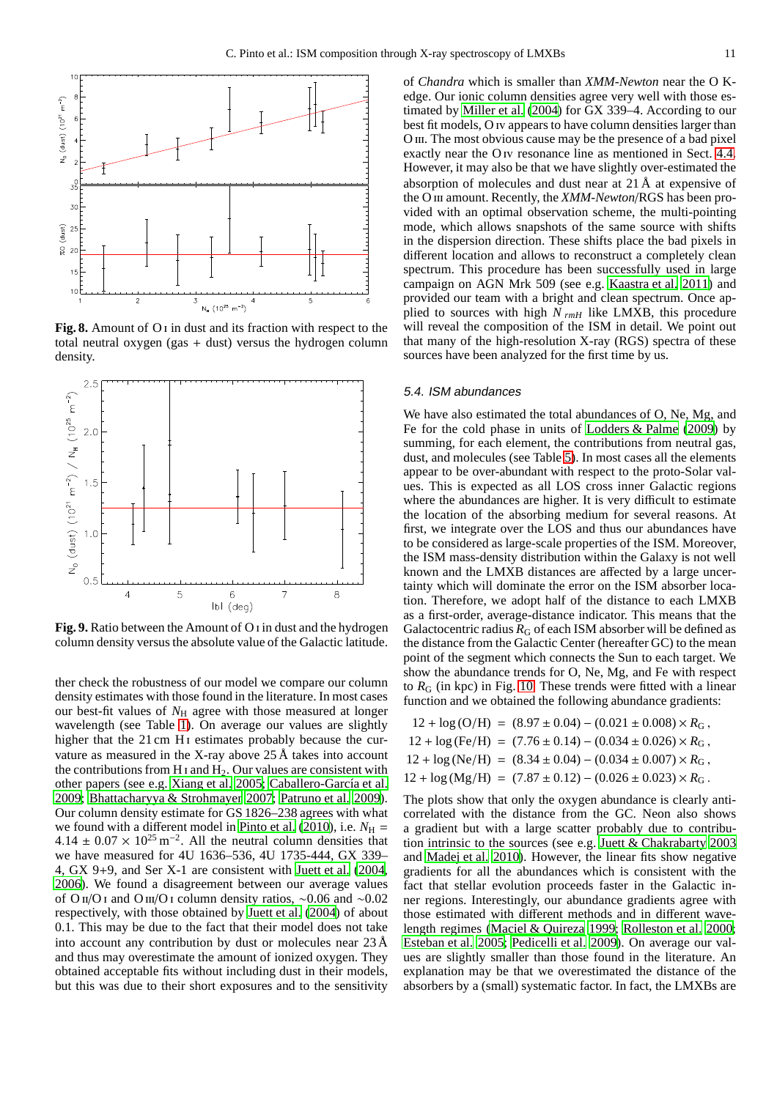

<span id="page-10-0"></span>**Fig. 8.** Amount of O i in dust and its fraction with respect to the total neutral oxygen (gas + dust) versus the hydrogen column density.



<span id="page-10-1"></span>**Fig. 9.** Ratio between the Amount of O i in dust and the hydrogen column density versus the absolute value of the Galactic latitude.

ther check the robustness of our model we compare our column density estimates with those found in the literature. In most cases our best-fit values of  $N_H$  agree with those measured at longer wavelength (see Table [1\)](#page-2-0). On average our values are slightly higher that the  $21 \text{ cm H}$  i estimates probably because the curvature as measured in the X-ray above 25 Å takes into account the contributions from H<sub>I</sub> and H<sub>2</sub>. Our values are consistent with other papers (see e.g. [Xiang et al. 2005;](#page-12-10) Caballero-García et al. [2009](#page-11-22); [Bhattacharyya & Strohmayer 2007;](#page-11-23) [Patruno et al. 2009](#page-12-11)). Our column density estimate for GS 1826–238 agrees with what we found with a different model in Pinto et al.  $(2010)$ , i.e.  $N_{\rm H}$  =  $4.14 \pm 0.07 \times 10^{25} \,\mathrm{m}^{-2}$ . All the neutral column densities that we have measured for 4U 1636–536, 4U 1735-444, GX 339– 4, GX 9+9, and Ser X-1 are consistent with [Juett et al.](#page-11-3) [\(2004,](#page-11-3) [2006](#page-11-24)). We found a disagreement between our average values of O ii/O i and O iii/O i column density ratios, ∼0.06 and ∼0.02 respectively, with those obtained by [Juett et al. \(2004](#page-11-3)) of about 0.1. This may be due to the fact that their model does not take into account any contribution by dust or molecules near 23 Å and thus may overestimate the amount of ionized oxygen. They obtained acceptable fits without including dust in their models, but this was due to their short exposures and to the sensitivity of *Chandra* which is smaller than *XMM-Newton* near the O Kedge. Our ionic column densities agree very well with those estimated by [Miller et al. \(2004](#page-11-25)) for GX 339–4. According to our best fit models, O iv appears to have column densities larger than O iii. The most obvious cause may be the presence of a bad pixel exactly near the O<sub>IV</sub> resonance line as mentioned in Sect. [4.4.](#page-8-2) However, it may also be that we have slightly over-estimated the absorption of molecules and dust near at 21 Å at expensive of the O III amount. Recently, the *XMM-Newton*/RGS has been provided with an optimal observation scheme, the multi-pointing mode, which allows snapshots of the same source with shifts in the dispersion direction. These shifts place the bad pixels in different location and allows to reconstruct a completely clean spectrum. This procedure has been successfully used in large campaign on AGN Mrk 509 (see e.g. [Kaastra et al. 2011\)](#page-11-15) and provided our team with a bright and clean spectrum. Once applied to sources with high *N rmH* like LMXB, this procedure will reveal the composition of the ISM in detail. We point out that many of the high-resolution X-ray (RGS) spectra of these sources have been analyzed for the first time by us.

#### 5.4. ISM abundances

We have also estimated the total abundances of O, Ne, Mg, and Fe for the cold phase in units of [Lodders & Palme](#page-11-13) [\(2009\)](#page-11-13) by summing, for each element, the contributions from neutral gas, dust, and molecules (see Table [5\)](#page-12-12). In most cases all the elements appear to be over-abundant with respect to the proto-Solar values. This is expected as all LOS cross inner Galactic regions where the abundances are higher. It is very difficult to estimate the location of the absorbing medium for several reasons. At first, we integrate over the LOS and thus our abundances have to be considered as large-scale properties of the ISM. Moreover, the ISM mass-density distribution within the Galaxy is not well known and the LMXB distances are affected by a large uncertainty which will dominate the error on the ISM absorber location. Therefore, we adopt half of the distance to each LMXB as a first-order, average-distance indicator. This means that the Galactocentric radius  $R_G$  of each ISM absorber will be defined as the distance from the Galactic Center (hereafter GC) to the mean point of the segment which connects the Sun to each target. We show the abundance trends for O, Ne, Mg, and Fe with respect to  $R_G$  (in kpc) in Fig. [10.](#page-12-13) These trends were fitted with a linear function and we obtained the following abundance gradients:

$$
12 + \log \left( \text{O/H} \right) = (8.97 \pm 0.04) - (0.021 \pm 0.008) \times R_{\text{G}},
$$
  
\n
$$
12 + \log \left( \text{Fe/H} \right) = (7.76 \pm 0.14) - (0.034 \pm 0.026) \times R_{\text{G}},
$$
  
\n
$$
12 + \log \left( \text{Ne/H} \right) = (8.34 \pm 0.04) - (0.034 \pm 0.007) \times R_{\text{G}},
$$
  
\n
$$
12 + \log \left( \text{Mg/H} \right) = (7.87 \pm 0.12) - (0.026 \pm 0.023) \times R_{\text{G}}.
$$

The plots show that only the oxygen abundance is clearly anticorrelated with the distance from the GC. Neon also shows a gradient but with a large scatter probably due to contribution intrinsic to the sources (see e.g. [Juett & Chakrabarty 2003](#page-11-26) and [Madej et al. 2010\)](#page-11-27). However, the linear fits show negative gradients for all the abundances which is consistent with the fact that stellar evolution proceeds faster in the Galactic inner regions. Interestingly, our abundance gradients agree with those estimated with different methods and in different wavelength regimes [\(Maciel & Quireza 1999](#page-11-28); [Rolleston et al. 2000;](#page-12-14) [Esteban et al. 2005;](#page-11-29) [Pedicelli et al. 2009\)](#page-12-15). On average our values are slightly smaller than those found in the literature. An explanation may be that we overestimated the distance of the absorbers by a (small) systematic factor. In fact, the LMXBs are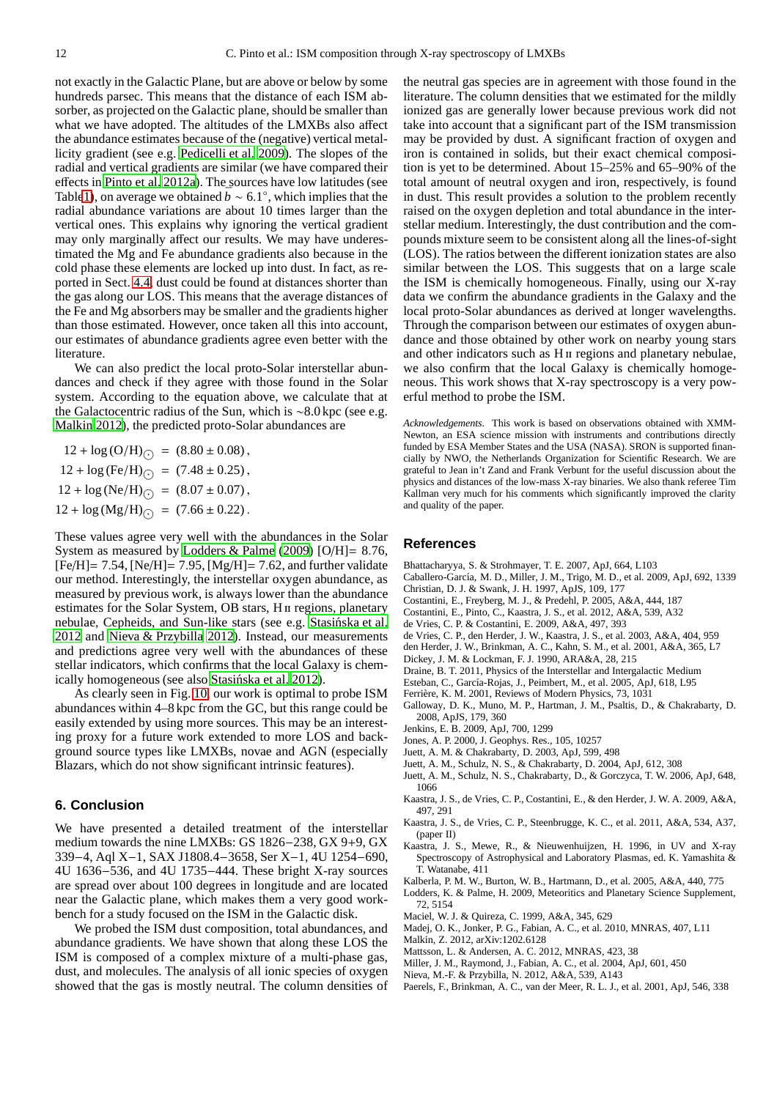not exactly in the Galactic Plane, but are above or below by some hundreds parsec. This means that the distance of each ISM absorber, as projected on the Galactic plane, should be smaller than what we have adopted. The altitudes of the LMXBs also affect the abundance estimates because of the (negative) vertical metallicity gradient (see e.g. [Pedicelli et al. 2009\)](#page-12-15). The slopes of the radial and vertical gradients are similar (we have compared their effects in [Pinto et al. 2012a\)](#page-12-4). The sources have low latitudes (see Tabl[e1\)](#page-2-0), on average we obtained  $\bar{b} \sim 6.1^{\circ}$ , which implies that the radial abundance variations are about 10 times larger than the vertical ones. This explains why ignoring the vertical gradient may only marginally affect our results. We may have underestimated the Mg and Fe abundance gradients also because in the cold phase these elements are locked up into dust. In fact, as reported in Sect. [4.4,](#page-8-2) dust could be found at distances shorter than the gas along our LOS. This means that the average distances of the Fe and Mg absorbers may be smaller and the gradients higher than those estimated. However, once taken all this into account, our estimates of abundance gradients agree even better with the literature.

<span id="page-11-20"></span>We can also predict the local proto-Solar interstellar abundances and check if they agree with those found in the Solar system. According to the equation above, we calculate that at the Galactocentric radius of the Sun, which is ∼8.0 kpc (see e.g. [Malkin 2012\)](#page-11-30), the predicted proto-Solar abundances are

$$
12 + \log \left( \text{O/H} \right)_{\bigcirc} = (8.80 \pm 0.08),
$$
  
\n
$$
12 + \log \left( \text{Fe/H} \right)_{\bigcirc} = (7.48 \pm 0.25),
$$
  
\n
$$
12 + \log \left( \text{Ne/H} \right)_{\bigcirc} = (8.07 \pm 0.07),
$$
  
\n
$$
12 + \log \left( \text{Mg/H} \right)_{\bigcirc} = (7.66 \pm 0.22).
$$

These values agree very well with the abundances in the Solar System as measured by [Lodders & Palme](#page-11-13) [\(2009\)](#page-11-13) [O/H]= 8.76,  $[Fe/H] = 7.54$ ,  $[Ne/H] = 7.95$ ,  $[Mg/H] = 7.62$ , and further validate our method. Interestingly, the interstellar oxygen abundance, as measured by previous work, is always lower than the abundance estimates for the Solar System, OB stars, H<sub>II</sub> regions, planetary nebulae, Cepheids, and Sun-like stars (see e.g. Stasińska et al. [2012](#page-12-16) and [Nieva & Przybilla 2012\)](#page-11-31). Instead, our measurements and predictions agree very well with the abundances of these stellar indicators, which confirms that the local Galaxy is chemically homogeneous (see also Stasinska et al. 2012).

As clearly seen in Fig. [10,](#page-12-13) our work is optimal to probe ISM abundances within 4–8 kpc from the GC, but this range could be easily extended by using more sources. This may be an interesting proxy for a future work extended to more LOS and background source types like LMXBs, novae and AGN (especially Blazars, which do not show significant intrinsic features).

# <span id="page-11-14"></span>**6. Conclusion**

We have presented a detailed treatment of the interstellar medium towards the nine LMXBs: GS 1826−238, GX 9+9, GX 339−4, Aql X−1, SAX J1808.4−3658, Ser X−1, 4U 1254−690, 4U 1636−536, and 4U 1735−444. These bright X-ray sources are spread over about 100 degrees in longitude and are located near the Galactic plane, which makes them a very good workbench for a study focused on the ISM in the Galactic disk.

We probed the ISM dust composition, total abundances, and abundance gradients. We have shown that along these LOS the ISM is composed of a complex mixture of a multi-phase gas, dust, and molecules. The analysis of all ionic species of oxygen showed that the gas is mostly neutral. The column densities of the neutral gas species are in agreement with those found in the literature. The column densities that we estimated for the mildly ionized gas are generally lower because previous work did not take into account that a significant part of the ISM transmission may be provided by dust. A significant fraction of oxygen and iron is contained in solids, but their exact chemical composition is yet to be determined. About 15–25% and 65–90% of the total amount of neutral oxygen and iron, respectively, is found in dust. This result provides a solution to the problem recently raised on the oxygen depletion and total abundance in the interstellar medium. Interestingly, the dust contribution and the compounds mixture seem to be consistent along all the lines-of-sight (LOS). The ratios between the different ionization states are also similar between the LOS. This suggests that on a large scale the ISM is chemically homogeneous. Finally, using our X-ray data we confirm the abundance gradients in the Galaxy and the local proto-Solar abundances as derived at longer wavelengths. Through the comparison between our estimates of oxygen abundance and those obtained by other work on nearby young stars and other indicators such as H<sub>II</sub> regions and planetary nebulae, we also confirm that the local Galaxy is chemically homogeneous. This work shows that X-ray spectroscopy is a very powerful method to probe the ISM.

*Acknowledgements.* This work is based on observations obtained with XMM-Newton, an ESA science mission with instruments and contributions directly funded by ESA Member States and the USA (NASA). SRON is supported financially by NWO, the Netherlands Organization for Scientific Research. We are grateful to Jean in't Zand and Frank Verbunt for the useful discussion about the physics and distances of the low-mass X-ray binaries. We also thank referee Tim Kallman very much for his comments which significantly improved the clarity and quality of the paper.

#### **References**

- <span id="page-11-23"></span>Bhattacharyya, S. & Strohmayer, T. E. 2007, ApJ, 664, L103
- <span id="page-11-22"></span>Caballero-García, M. D., Miller, J. M., Trigo, M. D., et al. 2009, ApJ, 692, 1339
- <span id="page-11-19"></span>Christian, D. J. & Swank, J. H. 1997, ApJS, 109, 177 Costantini, E., Freyberg, M. J., & Predehl, P. 2005, A&A, 444, 187
- <span id="page-11-5"></span><span id="page-11-4"></span>Costantini, E., Pinto, C., Kaastra, J. S., et al. 2012, A&A, 539, A32
- 
- <span id="page-11-6"></span>de Vries, C. P. & Costantini, E. 2009, A&A, 497, 393
- <span id="page-11-2"></span>de Vries, C. P., den Herder, J. W., Kaastra, J. S., et al. 2003, A&A, 404, 959
- <span id="page-11-11"></span>den Herder, J. W., Brinkman, A. C., Kahn, S. M., et al. 2001, A&A, 365, L7
- <span id="page-11-18"></span>Dickey, J. M. & Lockman, F. J. 1990, ARA&A, 28, 215
- <span id="page-11-0"></span>Draine, B. T. 2011, Physics of the Interstellar and Intergalactic Medium
- <span id="page-11-29"></span>Esteban, C., García-Rojas, J., Peimbert, M., et al. 2005, ApJ, 618, L95
- <span id="page-11-8"></span>Ferrière, K. M. 2001, Reviews of Modern Physics, 73, 1031
- <span id="page-11-16"></span>Galloway, D. K., Muno, M. P., Hartman, J. M., Psaltis, D., & Chakrabarty, D. 2008, ApJS, 179, 360
- <span id="page-11-10"></span>Jenkins, E. B. 2009, ApJ, 700, 1299
- <span id="page-11-21"></span>Jones, A. P. 2000, J. Geophys. Res., 105, 10257
- <span id="page-11-26"></span>Juett, A. M. & Chakrabarty, D. 2003, ApJ, 599, 498
- <span id="page-11-3"></span>Juett, A. M., Schulz, N. S., & Chakrabarty, D. 2004, ApJ, 612, 308
- <span id="page-11-24"></span>Juett, A. M., Schulz, N. S., Chakrabarty, D., & Gorczyca, T. W. 2006, ApJ, 648, 1066
- <span id="page-11-7"></span>Kaastra, J. S., de Vries, C. P., Costantini, E., & den Herder, J. W. A. 2009, A&A, 497, 291
- <span id="page-11-15"></span>Kaastra, J. S., de Vries, C. P., Steenbrugge, K. C., et al. 2011, A&A, 534, A37, (paper II)
- <span id="page-11-12"></span>Kaastra, J. S., Mewe, R., & Nieuwenhuijzen, H. 1996, in UV and X-ray Spectroscopy of Astrophysical and Laboratory Plasmas, ed. K. Yamashita & T. Watanabe, 411
- <span id="page-11-17"></span>Kalberla, P. M. W., Burton, W. B., Hartmann, D., et al. 2005, A&A, 440, 775
- <span id="page-11-13"></span>Lodders, K. & Palme, H. 2009, Meteoritics and Planetary Science Supplement, 72, 5154
- <span id="page-11-28"></span>Maciel, W. J. & Quireza, C. 1999, A&A, 345, 629
- Madej, O. K., Jonker, P. G., Fabian, A. C., et al. 2010, MNRAS, 407, L11
- <span id="page-11-30"></span><span id="page-11-27"></span>Malkin, Z. 2012, arXiv:1202.6128
- <span id="page-11-9"></span>Mattsson, L. & Andersen, A. C. 2012, MNRAS, 423, 38
- <span id="page-11-25"></span>Miller, J. M., Raymond, J., Fabian, A. C., et al. 2004, ApJ, 601, 450
- <span id="page-11-31"></span>Nieva, M.-F. & Przybilla, N. 2012, A&A, 539, A143
- <span id="page-11-1"></span>Paerels, F., Brinkman, A. C., van der Meer, R. L. J., et al. 2001, ApJ, 546, 338